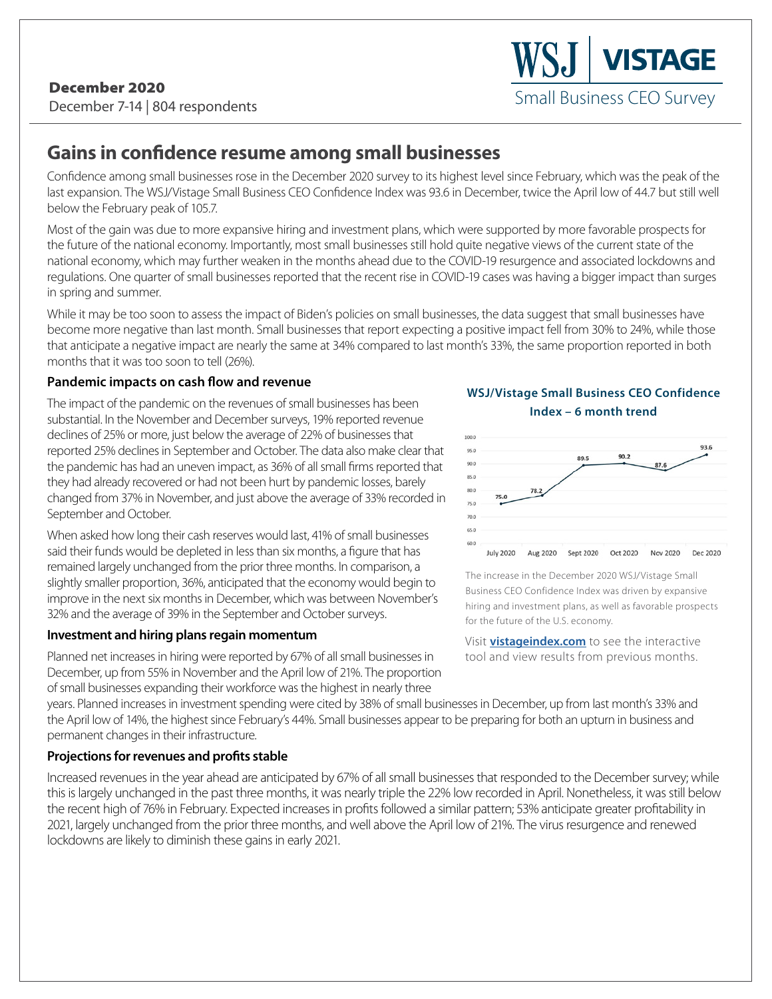# **Gains in confidence resume among small businesses**

Confidence among small businesses rose in the December 2020 survey to its highest level since February, which was the peak of the last expansion. The WSJ/Vistage Small Business CEO Confidence Index was 93.6 in December, twice the April low of 44.7 but still well below the February peak of 105.7.

Most of the gain was due to more expansive hiring and investment plans, which were supported by more favorable prospects for the future of the national economy. Importantly, most small businesses still hold quite negative views of the current state of the national economy, which may further weaken in the months ahead due to the COVID-19 resurgence and associated lockdowns and regulations. One quarter of small businesses reported that the recent rise in COVID-19 cases was having a bigger impact than surges in spring and summer.

While it may be too soon to assess the impact of Biden's policies on small businesses, the data suggest that small businesses have become more negative than last month. Small businesses that report expecting a positive impact fell from 30% to 24%, while those that anticipate a negative impact are nearly the same at 34% compared to last month's 33%, the same proportion reported in both months that it was too soon to tell (26%).

## **Pandemic impacts on cash flow and revenue**

The impact of the pandemic on the revenues of small businesses has been substantial. In the November and December surveys, 19% reported revenue declines of 25% or more, just below the average of 22% of businesses that reported 25% declines in September and October. The data also make clear that the pandemic has had an uneven impact, as 36% of all small firms reported that they had already recovered or had not been hurt by pandemic losses, barely changed from 37% in November, and just above the average of 33% recorded in September and October.

When asked how long their cash reserves would last, 41% of small businesses said their funds would be depleted in less than six months, a figure that has remained largely unchanged from the prior three months. In comparison, a slightly smaller proportion, 36%, anticipated that the economy would begin to improve in the next six months in December, which was between November's 32% and the average of 39% in the September and October surveys.

### **Investment and hiring plans regain momentum**

Planned net increases in hiring were reported by 67% of all small businesses in December, up from 55% in November and the April low of 21%. The proportion of small businesses expanding their workforce was the highest in nearly three



Small Business CEO Survey

**VISTAGE** 



The increase in the December 2020 WSJ/Vistage Small Business CEO Confidence Index was driven by expansive hiring and investment plans, as well as favorable prospects for the future of the U.S. economy.

Visit **vistageindex.com** to see the interactive tool and view results from previous months.

years. Planned increases in investment spending were cited by 38% of small businesses in December, up from last month's 33% and the April low of 14%, the highest since February's 44%. Small businesses appear to be preparing for both an upturn in business and permanent changes in their infrastructure.

# **Projections for revenues and profits stable**

Increased revenues in the year ahead are anticipated by 67% of all small businesses that responded to the December survey; while this is largely unchanged in the past three months, it was nearly triple the 22% low recorded in April. Nonetheless, it was still below the recent high of 76% in February. Expected increases in profits followed a similar pattern; 53% anticipate greater profitability in 2021, largely unchanged from the prior three months, and well above the April low of 21%. The virus resurgence and renewed lockdowns are likely to diminish these gains in early 2021.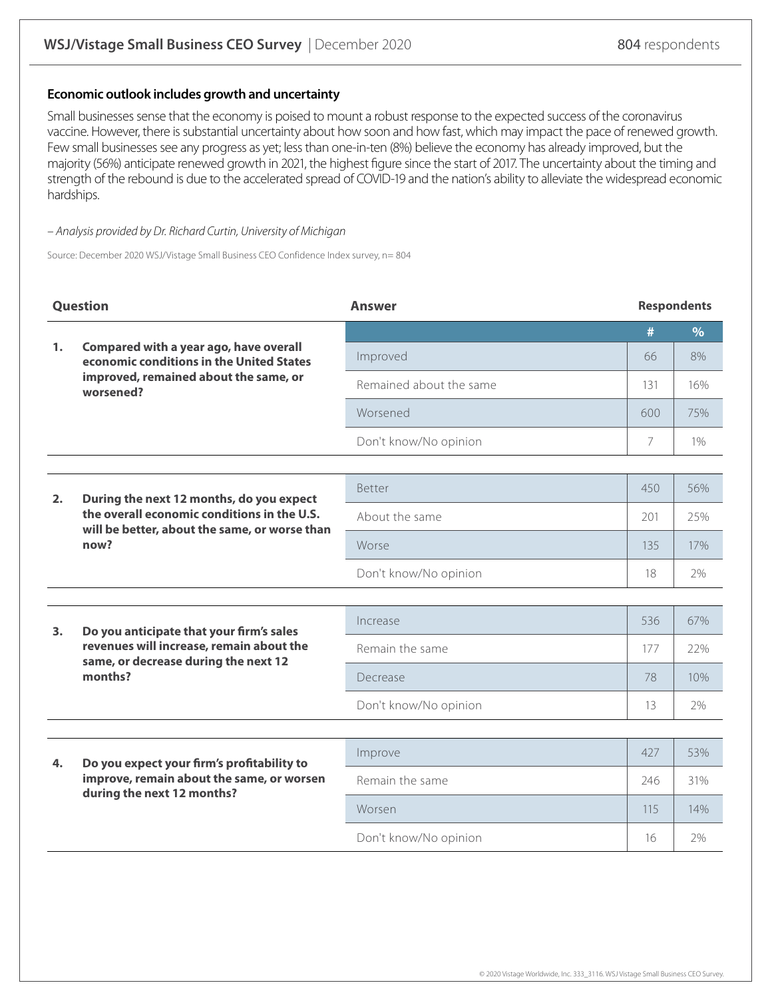### **Economic outlook includes growth and uncertainty**

Small businesses sense that the economy is poised to mount a robust response to the expected success of the coronavirus vaccine. However, there is substantial uncertainty about how soon and how fast, which may impact the pace of renewed growth. Few small businesses see any progress as yet; less than one-in-ten (8%) believe the economy has already improved, but the majority (56%) anticipate renewed growth in 2021, the highest figure since the start of 2017. The uncertainty about the timing and strength of the rebound is due to the accelerated spread of COVID-19 and the nation's ability to alleviate the widespread economic hardships.

#### – Analysis provided by Dr. Richard Curtin, University of Michigan

Source: December 2020 WSJ/Vistage Small Business CEO Confidence Index survey, n= 804

| Question |                                                                                                                                                  | <b>Answer</b>           |     | <b>Respondents</b> |  |
|----------|--------------------------------------------------------------------------------------------------------------------------------------------------|-------------------------|-----|--------------------|--|
|          | Compared with a year ago, have overall<br>economic conditions in the United States<br>improved, remained about the same, or<br>worsened?         |                         | #   | $\%$               |  |
| 1.       |                                                                                                                                                  | Improved                | 66  | 8%                 |  |
|          |                                                                                                                                                  | Remained about the same | 131 | 16%                |  |
|          |                                                                                                                                                  | Worsened                | 600 | 75%                |  |
|          |                                                                                                                                                  | Don't know/No opinion   | 7   | $1\%$              |  |
|          |                                                                                                                                                  |                         |     |                    |  |
| 2.       | During the next 12 months, do you expect<br>the overall economic conditions in the U.S.<br>will be better, about the same, or worse than<br>now? | <b>Better</b>           | 450 | 56%                |  |
|          |                                                                                                                                                  | About the same          | 201 | 25%                |  |
|          |                                                                                                                                                  | Worse                   | 135 | 17%                |  |
|          |                                                                                                                                                  | Don't know/No opinion   | 18  | 2%                 |  |
|          |                                                                                                                                                  |                         |     |                    |  |
| 3.       | Do you anticipate that your firm's sales<br>revenues will increase, remain about the<br>same, or decrease during the next 12<br>months?          | Increase                | 536 | 67%                |  |
|          |                                                                                                                                                  | Remain the same         | 177 | 22%                |  |
|          |                                                                                                                                                  | Decrease                | 78  | 10%                |  |
|          |                                                                                                                                                  | Don't know/No opinion   | 13  | 2%                 |  |
|          |                                                                                                                                                  |                         |     |                    |  |
| 4.       | Do you expect your firm's profitability to<br>improve, remain about the same, or worsen<br>during the next 12 months?                            | Improve                 | 427 | 53%                |  |
|          |                                                                                                                                                  | Remain the same         | 246 | 31%                |  |
|          |                                                                                                                                                  | Worsen                  | 115 | 14%                |  |
|          |                                                                                                                                                  | Don't know/No opinion   | 16  | 2%                 |  |
|          |                                                                                                                                                  |                         |     |                    |  |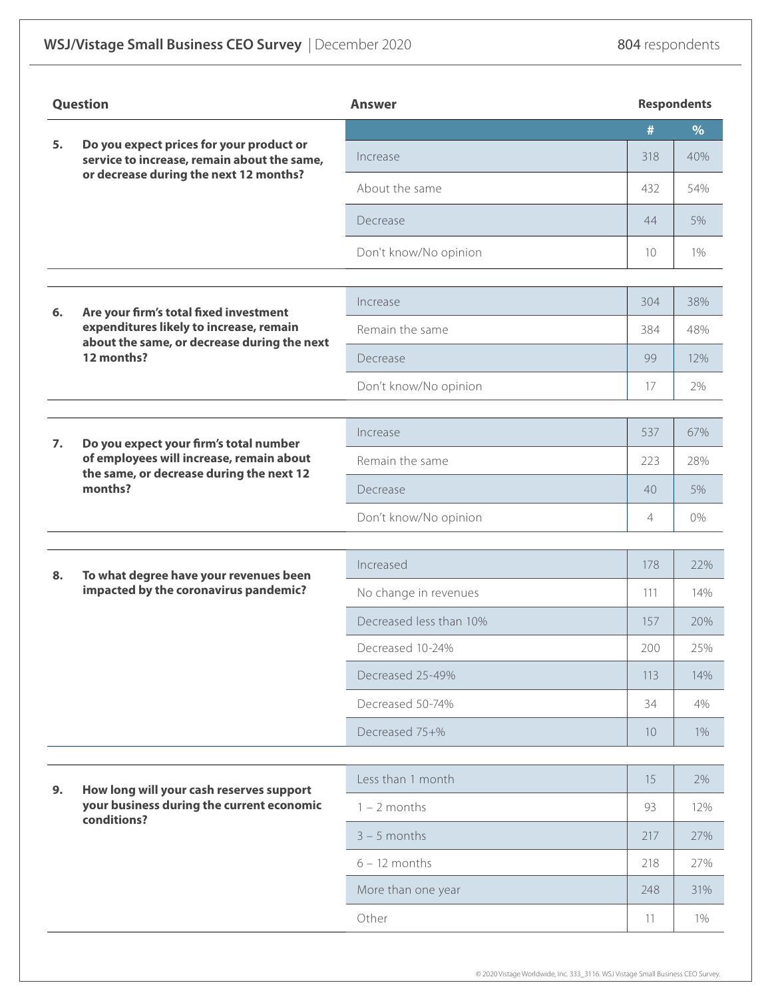# WSJ/Vistage Small Business CEO Survey | December 2020 804 respondents

| <b>Question</b> |                                                                                                                                                | <b>Answer</b>           | <b>Respondents</b> |      |
|-----------------|------------------------------------------------------------------------------------------------------------------------------------------------|-------------------------|--------------------|------|
|                 | Do you expect prices for your product or<br>service to increase, remain about the same,<br>or decrease during the next 12 months?              |                         | #                  | $\%$ |
| 5.              |                                                                                                                                                | Increase                | 318                | 40%  |
|                 |                                                                                                                                                | About the same          | 432                | 54%  |
|                 |                                                                                                                                                | Decrease                | 44                 | 5%   |
|                 |                                                                                                                                                | Don't know/No opinion   | 10                 | 1%   |
|                 |                                                                                                                                                |                         |                    |      |
| 6.              | Are your firm's total fixed investment<br>expenditures likely to increase, remain<br>about the same, or decrease during the next<br>12 months? | Increase                | 304                | 38%  |
|                 |                                                                                                                                                | Remain the same         | 384                | 48%  |
|                 |                                                                                                                                                | Decrease                | 99                 | 12%  |
|                 |                                                                                                                                                | Don't know/No opinion   | 17                 | 2%   |
|                 |                                                                                                                                                |                         |                    |      |
| 7.              | Do you expect your firm's total number                                                                                                         | Increase                | 537                | 67%  |
|                 | of employees will increase, remain about<br>the same, or decrease during the next 12                                                           | Remain the same         | 223                | 28%  |
|                 | months?                                                                                                                                        | Decrease                | 40                 | 5%   |
|                 |                                                                                                                                                | Don't know/No opinion   | 4                  | 0%   |
|                 |                                                                                                                                                |                         |                    |      |
| 8.              | To what degree have your revenues been<br>impacted by the coronavirus pandemic?                                                                | Increased               | 178                | 22%  |
|                 |                                                                                                                                                | No change in revenues   | 111                | 14%  |
|                 |                                                                                                                                                | Decreased less than 10% | 157                | 20%  |
|                 |                                                                                                                                                | Decreased 10-24%        | 200                | 25%  |
|                 |                                                                                                                                                | Decreased 25-49%        | 113                | 14%  |
|                 |                                                                                                                                                | Decreased 50-74%        | 34                 | 4%   |
|                 |                                                                                                                                                | Decreased 75+%          | 10                 | 1%   |
|                 | How long will your cash reserves support<br>your business during the current economic<br>conditions?                                           | Less than 1 month       | 15                 | 2%   |
| 9.              |                                                                                                                                                | $1 - 2$ months          | 93                 | 12%  |
|                 |                                                                                                                                                | $3 - 5$ months          | 217                | 27%  |
|                 |                                                                                                                                                | $6 - 12$ months         | 218                | 27%  |
|                 |                                                                                                                                                | More than one year      | 248                | 31%  |
|                 |                                                                                                                                                | Other                   | 11                 | 1%   |
|                 |                                                                                                                                                |                         |                    |      |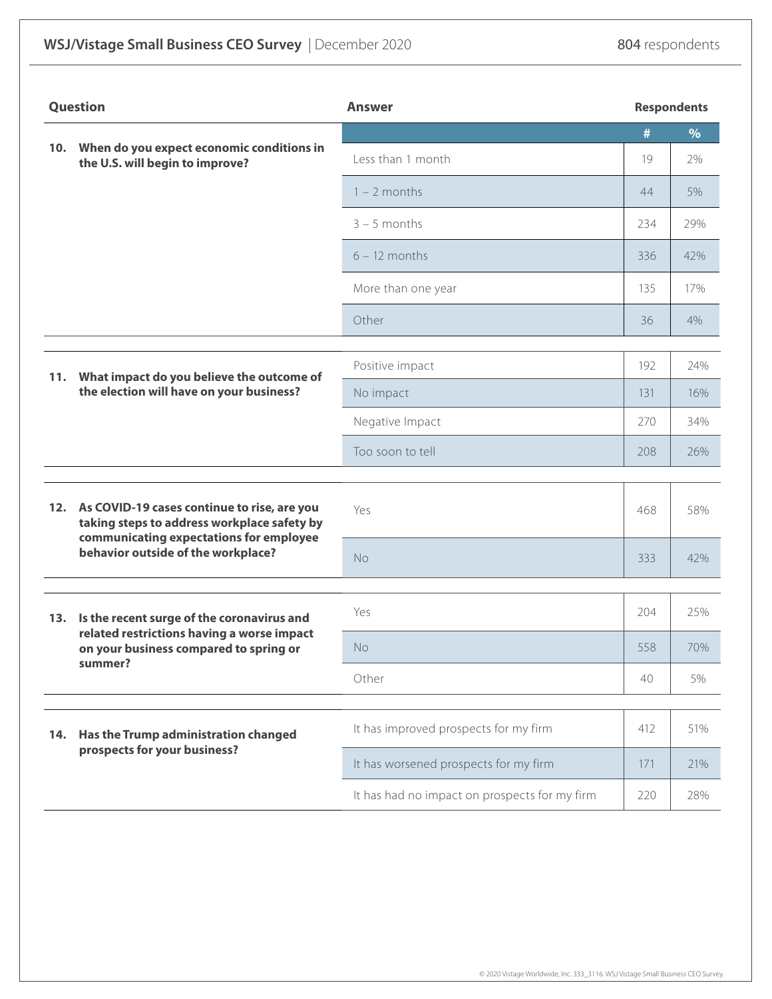| <b>Question</b> |                                                                                                                                                                                 | <b>Answer</b>                                 |     | <b>Respondents</b> |  |
|-----------------|---------------------------------------------------------------------------------------------------------------------------------------------------------------------------------|-----------------------------------------------|-----|--------------------|--|
|                 |                                                                                                                                                                                 |                                               | #   | $\%$               |  |
|                 | 10. When do you expect economic conditions in<br>the U.S. will begin to improve?                                                                                                | Less than 1 month                             | 19  | 2%                 |  |
|                 |                                                                                                                                                                                 | $1 - 2$ months                                | 44  | 5%                 |  |
|                 |                                                                                                                                                                                 | $3 - 5$ months                                | 234 | 29%                |  |
|                 |                                                                                                                                                                                 | $6 - 12$ months                               | 336 | 42%                |  |
|                 |                                                                                                                                                                                 | More than one year                            | 135 | 17%                |  |
|                 |                                                                                                                                                                                 | Other                                         | 36  | 4%                 |  |
|                 | What impact do you believe the outcome of<br>the election will have on your business?                                                                                           | Positive impact                               | 192 | 24%                |  |
| 11.             |                                                                                                                                                                                 | No impact                                     | 131 | 16%                |  |
|                 |                                                                                                                                                                                 | Negative Impact                               | 270 | 34%                |  |
|                 |                                                                                                                                                                                 | Too soon to tell                              | 208 | 26%                |  |
|                 |                                                                                                                                                                                 |                                               |     |                    |  |
|                 | 12. As COVID-19 cases continue to rise, are you<br>taking steps to address workplace safety by<br>communicating expectations for employee<br>behavior outside of the workplace? | Yes                                           | 468 | 58%                |  |
|                 |                                                                                                                                                                                 | No                                            | 333 | 42%                |  |
|                 | 13. Is the recent surge of the coronavirus and<br>related restrictions having a worse impact<br>on your business compared to spring or<br>summer?                               | Yes                                           | 204 | 25%                |  |
|                 |                                                                                                                                                                                 | <b>No</b>                                     | 558 | 70%                |  |
|                 |                                                                                                                                                                                 | Other                                         | 40  | 5%                 |  |
|                 | Has the Trump administration changed<br>prospects for your business?                                                                                                            |                                               |     |                    |  |
| 14.             |                                                                                                                                                                                 | It has improved prospects for my firm         | 412 | 51%                |  |
|                 |                                                                                                                                                                                 | It has worsened prospects for my firm         | 171 | 21%                |  |
|                 |                                                                                                                                                                                 | It has had no impact on prospects for my firm | 220 | 28%                |  |